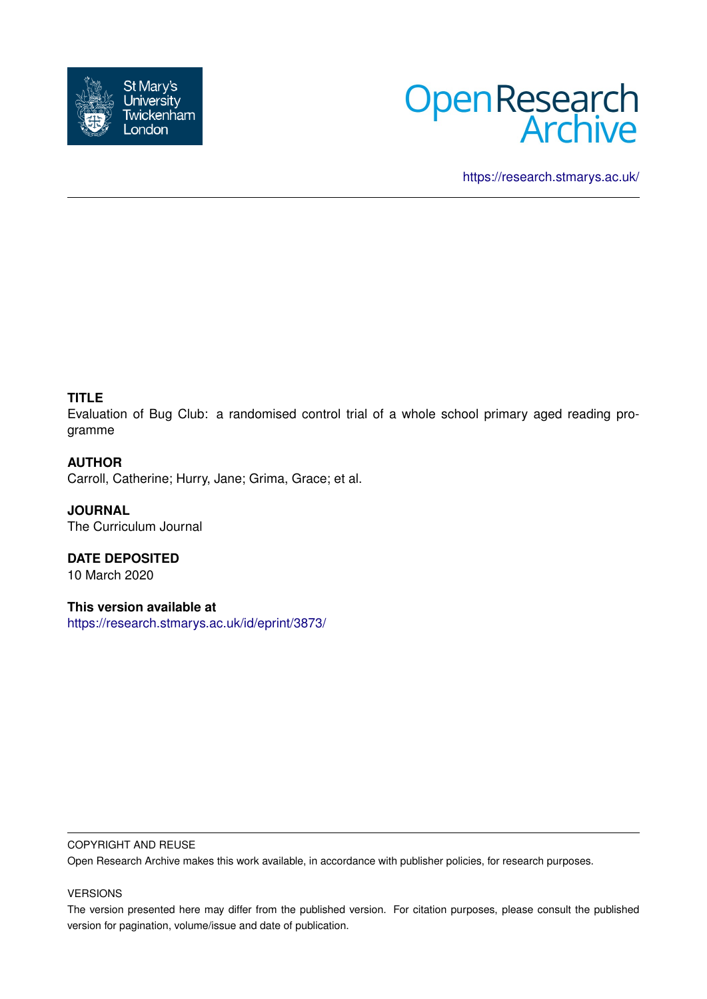



<https://research.stmarys.ac.uk/>

## **TITLE**

Evaluation of Bug Club: a randomised control trial of a whole school primary aged reading programme

## **AUTHOR**

Carroll, Catherine; Hurry, Jane; Grima, Grace; et al.

**JOURNAL** The Curriculum Journal

**DATE DEPOSITED** 10 March 2020

**This version available at** <https://research.stmarys.ac.uk/id/eprint/3873/>

#### COPYRIGHT AND REUSE

Open Research Archive makes this work available, in accordance with publisher policies, for research purposes.

## VERSIONS

The version presented here may differ from the published version. For citation purposes, please consult the published version for pagination, volume/issue and date of publication.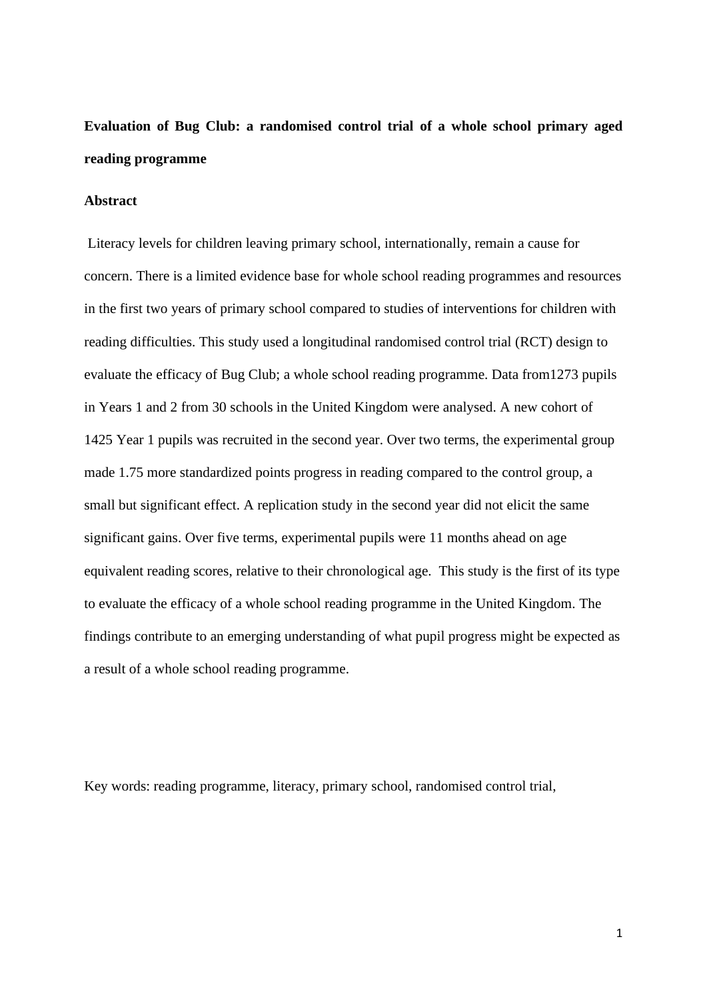# **Evaluation of Bug Club: a randomised control trial of a whole school primary aged reading programme**

## **Abstract**

Literacy levels for children leaving primary school, internationally, remain a cause for concern. There is a limited evidence base for whole school reading programmes and resources in the first two years of primary school compared to studies of interventions for children with reading difficulties. This study used a longitudinal randomised control trial (RCT) design to evaluate the efficacy of Bug Club; a whole school reading programme. Data from1273 pupils in Years 1 and 2 from 30 schools in the United Kingdom were analysed. A new cohort of 1425 Year 1 pupils was recruited in the second year. Over two terms, the experimental group made 1.75 more standardized points progress in reading compared to the control group, a small but significant effect. A replication study in the second year did not elicit the same significant gains. Over five terms, experimental pupils were 11 months ahead on age equivalent reading scores, relative to their chronological age. This study is the first of its type to evaluate the efficacy of a whole school reading programme in the United Kingdom. The findings contribute to an emerging understanding of what pupil progress might be expected as a result of a whole school reading programme.

Key words: reading programme, literacy, primary school, randomised control trial,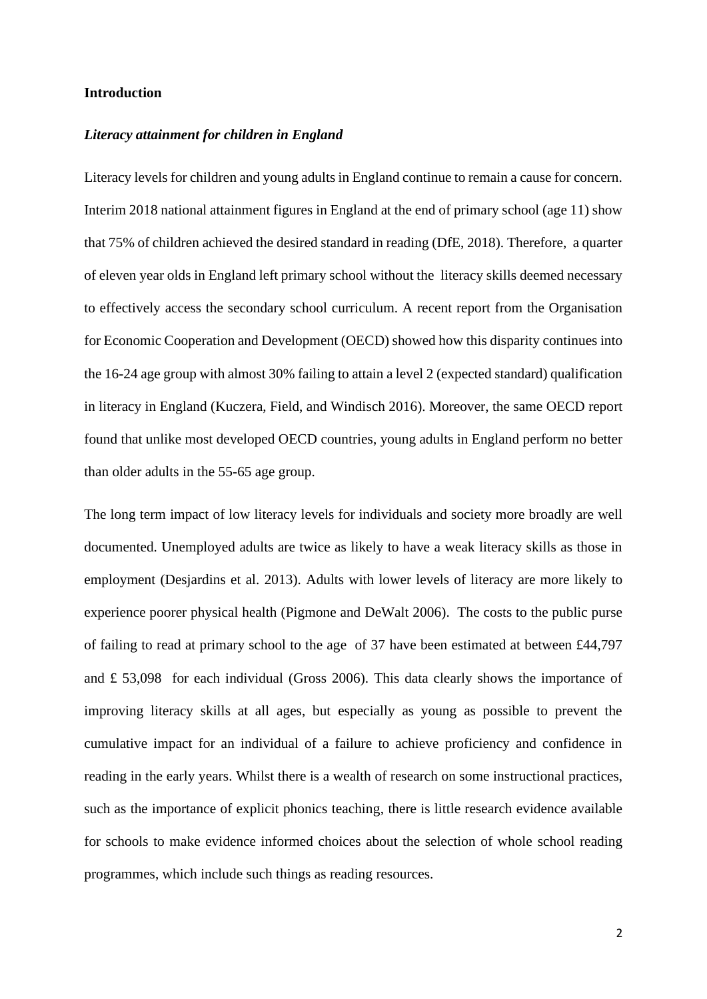#### **Introduction**

#### *Literacy attainment for children in England*

Literacy levels for children and young adults in England continue to remain a cause for concern. Interim 2018 national attainment figures in England at the end of primary school (age 11) show that 75% of children achieved the desired standard in reading (DfE, 2018). Therefore, a quarter of eleven year olds in England left primary school without the literacy skills deemed necessary to effectively access the secondary school curriculum. A recent report from the Organisation for Economic Cooperation and Development (OECD) showed how this disparity continues into the 16-24 age group with almost 30% failing to attain a level 2 (expected standard) qualification in literacy in England (Kuczera, Field, and Windisch 2016). Moreover, the same OECD report found that unlike most developed OECD countries, young adults in England perform no better than older adults in the 55-65 age group.

The long term impact of low literacy levels for individuals and society more broadly are well documented. Unemployed adults are twice as likely to have a weak literacy skills as those in employment (Desjardins et al. 2013). Adults with lower levels of literacy are more likely to experience poorer physical health (Pigmone and DeWalt 2006). The costs to the public purse of failing to read at primary school to the age of 37 have been estimated at between £44,797 and £ 53,098 for each individual (Gross 2006). This data clearly shows the importance of improving literacy skills at all ages, but especially as young as possible to prevent the cumulative impact for an individual of a failure to achieve proficiency and confidence in reading in the early years. Whilst there is a wealth of research on some instructional practices, such as the importance of explicit phonics teaching, there is little research evidence available for schools to make evidence informed choices about the selection of whole school reading programmes, which include such things as reading resources.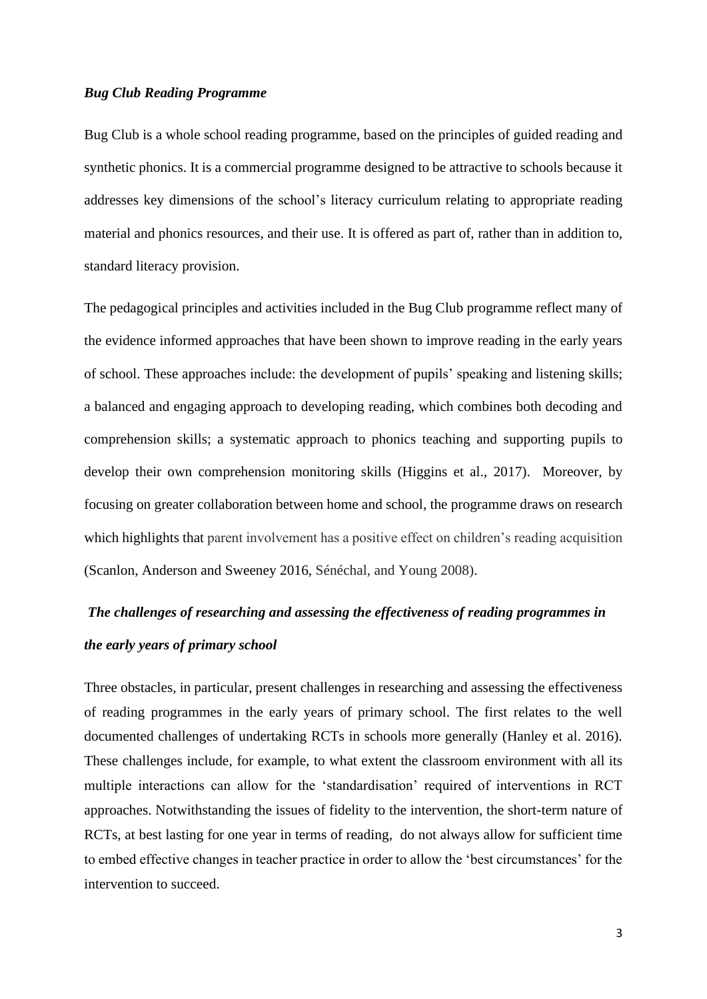#### *Bug Club Reading Programme*

Bug Club is a whole school reading programme, based on the principles of guided reading and synthetic phonics. It is a commercial programme designed to be attractive to schools because it addresses key dimensions of the school's literacy curriculum relating to appropriate reading material and phonics resources, and their use. It is offered as part of, rather than in addition to, standard literacy provision.

The pedagogical principles and activities included in the Bug Club programme reflect many of the evidence informed approaches that have been shown to improve reading in the early years of school. These approaches include: the development of pupils' speaking and listening skills; a balanced and engaging approach to developing reading, which combines both decoding and comprehension skills; a systematic approach to phonics teaching and supporting pupils to develop their own comprehension monitoring skills (Higgins et al., 2017). Moreover, by focusing on greater collaboration between home and school, the programme draws on research which highlights that parent involvement has a positive effect on children's reading acquisition (Scanlon, Anderson and Sweeney 2016, Sénéchal, and Young 2008).

# *The challenges of researching and assessing the effectiveness of reading programmes in the early years of primary school*

Three obstacles, in particular, present challenges in researching and assessing the effectiveness of reading programmes in the early years of primary school. The first relates to the well documented challenges of undertaking RCTs in schools more generally (Hanley et al. 2016). These challenges include, for example, to what extent the classroom environment with all its multiple interactions can allow for the 'standardisation' required of interventions in RCT approaches. Notwithstanding the issues of fidelity to the intervention, the short-term nature of RCTs, at best lasting for one year in terms of reading, do not always allow for sufficient time to embed effective changes in teacher practice in order to allow the 'best circumstances' for the intervention to succeed.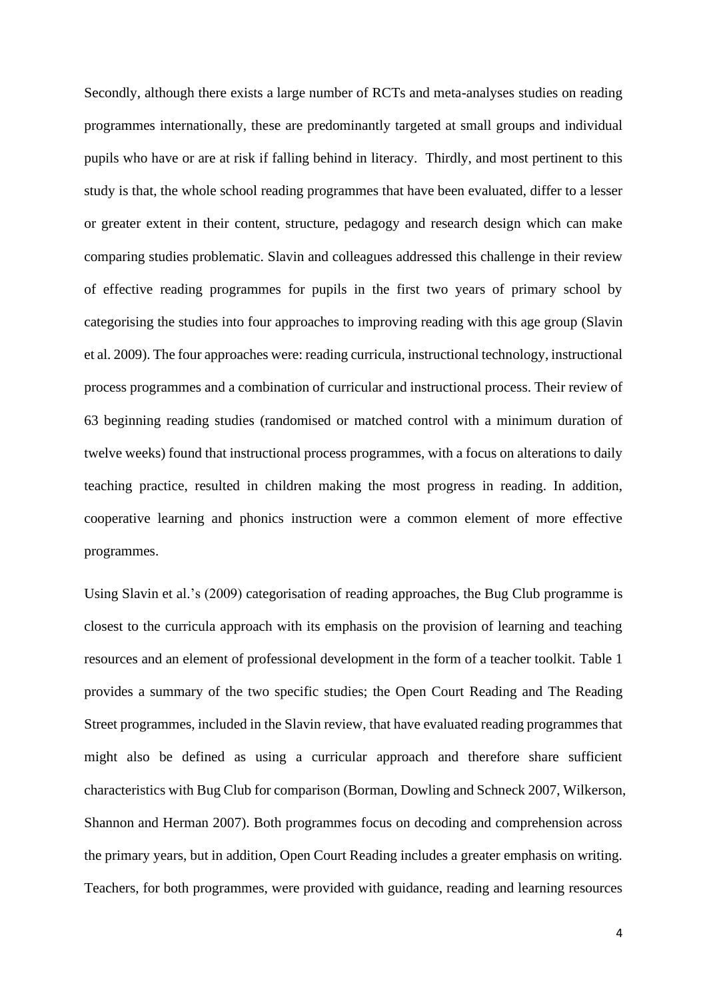Secondly, although there exists a large number of RCTs and meta-analyses studies on reading programmes internationally, these are predominantly targeted at small groups and individual pupils who have or are at risk if falling behind in literacy. Thirdly, and most pertinent to this study is that, the whole school reading programmes that have been evaluated, differ to a lesser or greater extent in their content, structure, pedagogy and research design which can make comparing studies problematic. Slavin and colleagues addressed this challenge in their review of effective reading programmes for pupils in the first two years of primary school by categorising the studies into four approaches to improving reading with this age group (Slavin et al. 2009). The four approaches were: reading curricula, instructional technology, instructional process programmes and a combination of curricular and instructional process. Their review of 63 beginning reading studies (randomised or matched control with a minimum duration of twelve weeks) found that instructional process programmes, with a focus on alterations to daily teaching practice, resulted in children making the most progress in reading. In addition, cooperative learning and phonics instruction were a common element of more effective programmes.

Using Slavin et al.'s (2009) categorisation of reading approaches, the Bug Club programme is closest to the curricula approach with its emphasis on the provision of learning and teaching resources and an element of professional development in the form of a teacher toolkit. Table 1 provides a summary of the two specific studies; the Open Court Reading and The Reading Street programmes, included in the Slavin review, that have evaluated reading programmes that might also be defined as using a curricular approach and therefore share sufficient characteristics with Bug Club for comparison (Borman, Dowling and Schneck 2007, Wilkerson, Shannon and Herman 2007). Both programmes focus on decoding and comprehension across the primary years, but in addition, Open Court Reading includes a greater emphasis on writing. Teachers, for both programmes, were provided with guidance, reading and learning resources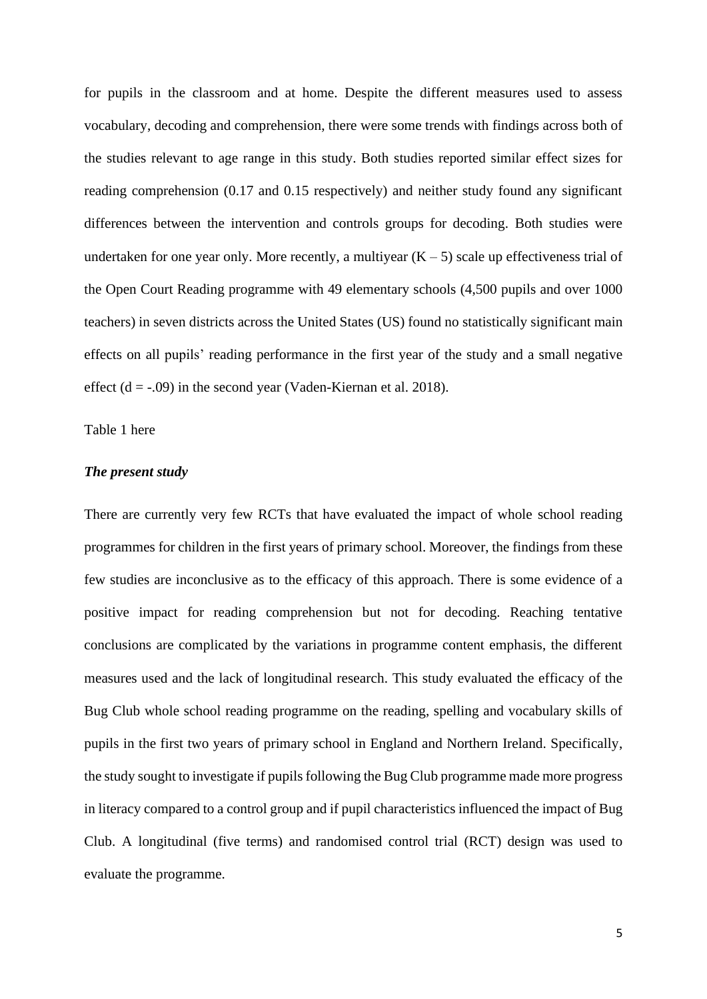for pupils in the classroom and at home. Despite the different measures used to assess vocabulary, decoding and comprehension, there were some trends with findings across both of the studies relevant to age range in this study. Both studies reported similar effect sizes for reading comprehension (0.17 and 0.15 respectively) and neither study found any significant differences between the intervention and controls groups for decoding. Both studies were undertaken for one year only. More recently, a multiyear  $(K - 5)$  scale up effectiveness trial of the Open Court Reading programme with 49 elementary schools (4,500 pupils and over 1000 teachers) in seven districts across the United States (US) found no statistically significant main effects on all pupils' reading performance in the first year of the study and a small negative effect  $(d = -0.09)$  in the second year (Vaden-Kiernan et al. 2018).

Table 1 here

## *The present study*

There are currently very few RCTs that have evaluated the impact of whole school reading programmes for children in the first years of primary school. Moreover, the findings from these few studies are inconclusive as to the efficacy of this approach. There is some evidence of a positive impact for reading comprehension but not for decoding. Reaching tentative conclusions are complicated by the variations in programme content emphasis, the different measures used and the lack of longitudinal research. This study evaluated the efficacy of the Bug Club whole school reading programme on the reading, spelling and vocabulary skills of pupils in the first two years of primary school in England and Northern Ireland. Specifically, the study sought to investigate if pupils following the Bug Club programme made more progress in literacy compared to a control group and if pupil characteristics influenced the impact of Bug Club. A longitudinal (five terms) and randomised control trial (RCT) design was used to evaluate the programme.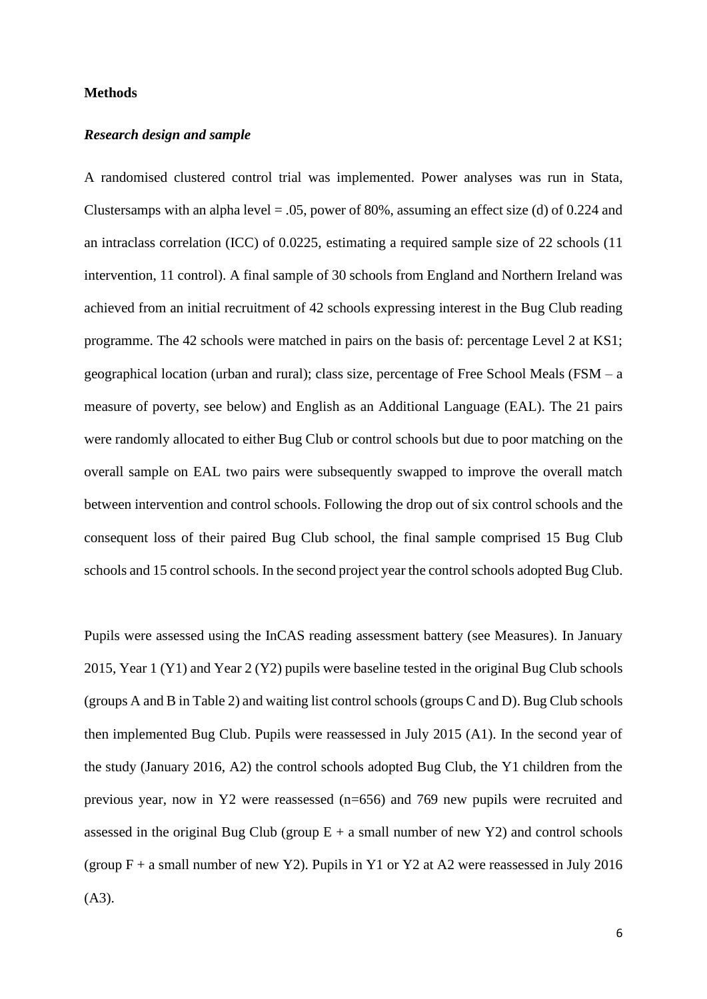#### **Methods**

#### *Research design and sample*

A randomised clustered control trial was implemented. Power analyses was run in Stata, Clustersamps with an alpha level  $= .05$ , power of 80%, assuming an effect size (d) of 0.224 and an intraclass correlation (ICC) of 0.0225, estimating a required sample size of 22 schools (11 intervention, 11 control). A final sample of 30 schools from England and Northern Ireland was achieved from an initial recruitment of 42 schools expressing interest in the Bug Club reading programme. The 42 schools were matched in pairs on the basis of: percentage Level 2 at KS1; geographical location (urban and rural); class size, percentage of Free School Meals (FSM – a measure of poverty, see below) and English as an Additional Language (EAL). The 21 pairs were randomly allocated to either Bug Club or control schools but due to poor matching on the overall sample on EAL two pairs were subsequently swapped to improve the overall match between intervention and control schools. Following the drop out of six control schools and the consequent loss of their paired Bug Club school, the final sample comprised 15 Bug Club schools and 15 control schools. In the second project year the control schools adopted Bug Club.

Pupils were assessed using the InCAS reading assessment battery (see Measures). In January 2015, Year 1 (Y1) and Year 2 (Y2) pupils were baseline tested in the original Bug Club schools (groups A and B in Table 2) and waiting list control schools (groups C and D). Bug Club schools then implemented Bug Club. Pupils were reassessed in July 2015 (A1). In the second year of the study (January 2016, A2) the control schools adopted Bug Club, the Y1 children from the previous year, now in Y2 were reassessed (n=656) and 769 new pupils were recruited and assessed in the original Bug Club (group  $E + a$  small number of new Y2) and control schools (group  $F + a$  small number of new Y2). Pupils in Y1 or Y2 at A2 were reassessed in July 2016  $(A3)$ .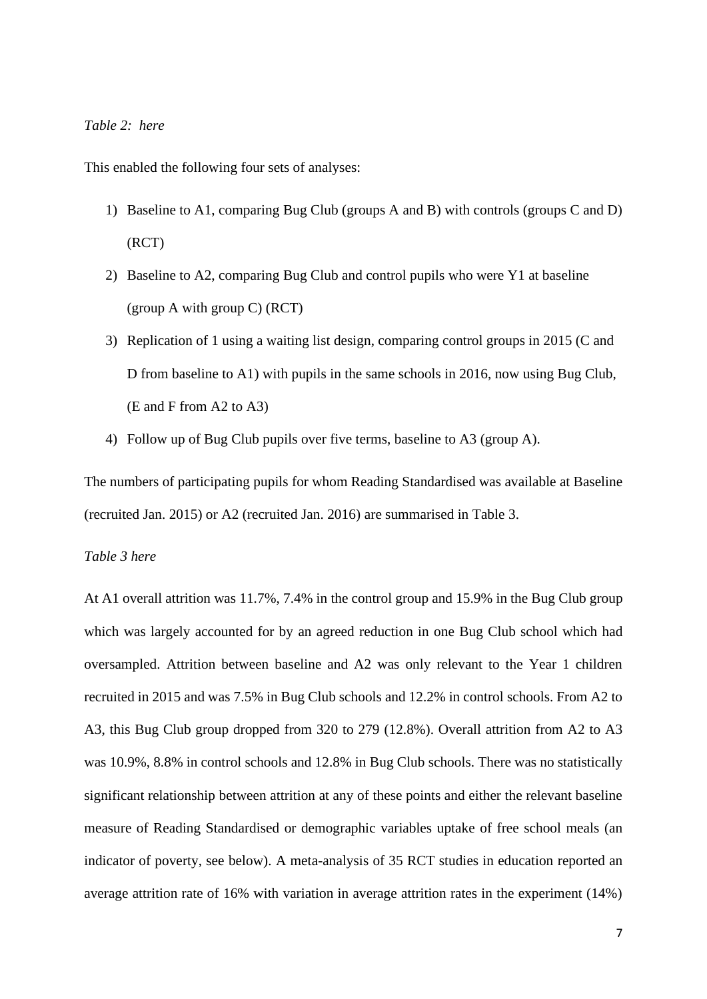## *Table 2: here*

This enabled the following four sets of analyses:

- 1) Baseline to A1, comparing Bug Club (groups A and B) with controls (groups C and D) (RCT)
- 2) Baseline to A2, comparing Bug Club and control pupils who were Y1 at baseline (group A with group C) (RCT)
- 3) Replication of 1 using a waiting list design, comparing control groups in 2015 (C and D from baseline to A1) with pupils in the same schools in 2016, now using Bug Club, (E and F from A2 to A3)
- 4) Follow up of Bug Club pupils over five terms, baseline to A3 (group A).

The numbers of participating pupils for whom Reading Standardised was available at Baseline (recruited Jan. 2015) or A2 (recruited Jan. 2016) are summarised in Table 3.

## *Table 3 here*

At A1 overall attrition was 11.7%, 7.4% in the control group and 15.9% in the Bug Club group which was largely accounted for by an agreed reduction in one Bug Club school which had oversampled. Attrition between baseline and A2 was only relevant to the Year 1 children recruited in 2015 and was 7.5% in Bug Club schools and 12.2% in control schools. From A2 to A3, this Bug Club group dropped from 320 to 279 (12.8%). Overall attrition from A2 to A3 was 10.9%, 8.8% in control schools and 12.8% in Bug Club schools. There was no statistically significant relationship between attrition at any of these points and either the relevant baseline measure of Reading Standardised or demographic variables uptake of free school meals (an indicator of poverty, see below). A meta-analysis of 35 RCT studies in education reported an average attrition rate of 16% with variation in average attrition rates in the experiment (14%)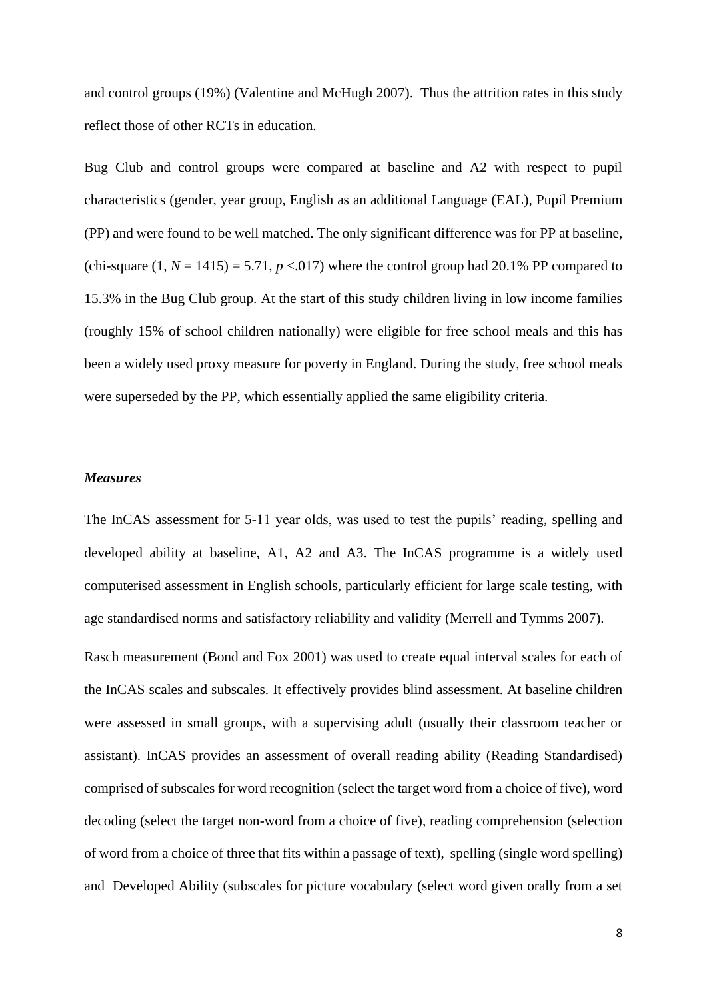and control groups (19%) (Valentine and McHugh 2007). Thus the attrition rates in this study reflect those of other RCTs in education.

Bug Club and control groups were compared at baseline and A2 with respect to pupil characteristics (gender, year group, English as an additional Language (EAL), Pupil Premium (PP) and were found to be well matched. The only significant difference was for PP at baseline, (chi-square  $(1, N = 1415) = 5.71$ ,  $p < 0.017$ ) where the control group had 20.1% PP compared to 15.3% in the Bug Club group. At the start of this study children living in low income families (roughly 15% of school children nationally) were eligible for free school meals and this has been a widely used proxy measure for poverty in England. During the study, free school meals were superseded by the PP, which essentially applied the same eligibility criteria.

#### *Measures*

The InCAS assessment for 5-11 year olds, was used to test the pupils' reading, spelling and developed ability at baseline, A1, A2 and A3. The InCAS programme is a widely used computerised assessment in English schools, particularly efficient for large scale testing, with age standardised norms and satisfactory reliability and validity (Merrell and Tymms 2007).

Rasch measurement (Bond and Fox 2001) was used to create equal interval scales for each of the InCAS scales and subscales. It effectively provides blind assessment. At baseline children were assessed in small groups, with a supervising adult (usually their classroom teacher or assistant). InCAS provides an assessment of overall reading ability (Reading Standardised) comprised of subscales for word recognition (select the target word from a choice of five), word decoding (select the target non-word from a choice of five), reading comprehension (selection of word from a choice of three that fits within a passage of text), spelling (single word spelling) and Developed Ability (subscales for picture vocabulary (select word given orally from a set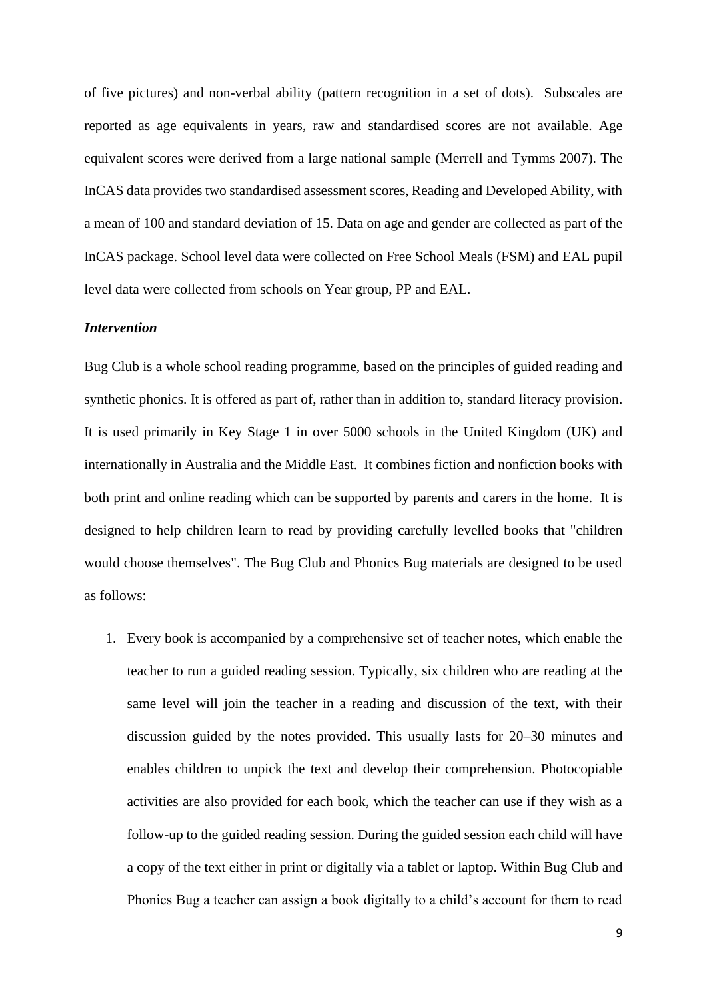of five pictures) and non-verbal ability (pattern recognition in a set of dots). Subscales are reported as age equivalents in years, raw and standardised scores are not available. Age equivalent scores were derived from a large national sample (Merrell and Tymms 2007). The InCAS data provides two standardised assessment scores, Reading and Developed Ability, with a mean of 100 and standard deviation of 15. Data on age and gender are collected as part of the InCAS package. School level data were collected on Free School Meals (FSM) and EAL pupil level data were collected from schools on Year group, PP and EAL.

#### *Intervention*

Bug Club is a whole school reading programme, based on the principles of guided reading and synthetic phonics. It is offered as part of, rather than in addition to, standard literacy provision. It is used primarily in Key Stage 1 in over 5000 schools in the United Kingdom (UK) and internationally in Australia and the Middle East. It combines fiction and nonfiction books with both print and online reading which can be supported by parents and carers in the home. It is designed to help children learn to read by providing carefully levelled books that "children would choose themselves". The Bug Club and Phonics Bug materials are designed to be used as follows:

1. Every book is accompanied by a comprehensive set of teacher notes, which enable the teacher to run a guided reading session. Typically, six children who are reading at the same level will join the teacher in a reading and discussion of the text, with their discussion guided by the notes provided. This usually lasts for 20–30 minutes and enables children to unpick the text and develop their comprehension. Photocopiable activities are also provided for each book, which the teacher can use if they wish as a follow-up to the guided reading session. During the guided session each child will have a copy of the text either in print or digitally via a tablet or laptop. Within Bug Club and Phonics Bug a teacher can assign a book digitally to a child's account for them to read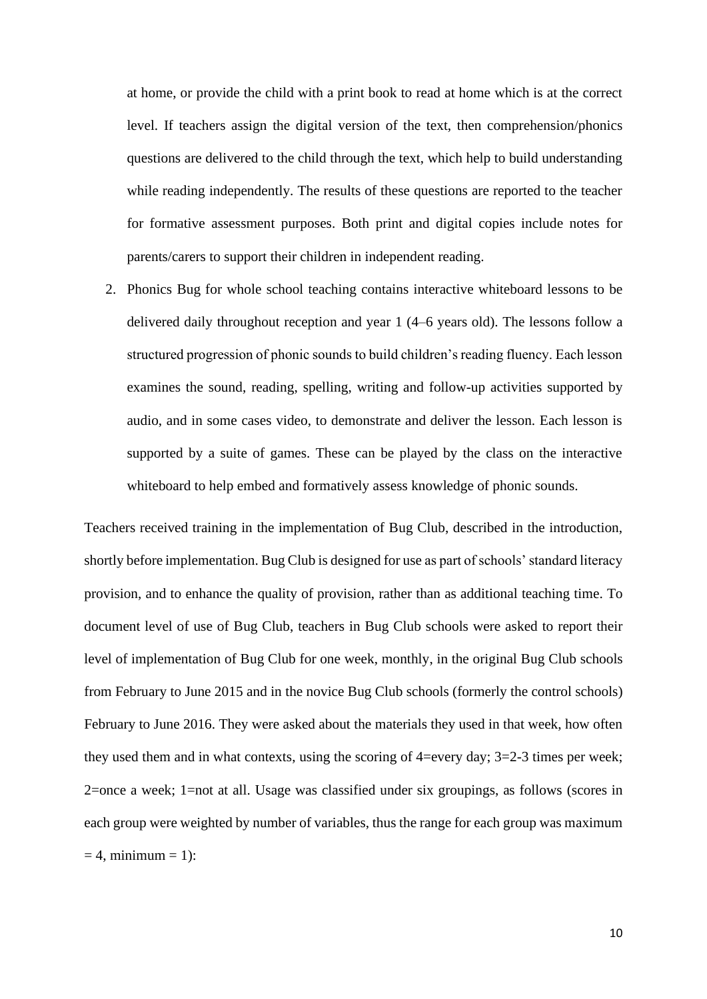at home, or provide the child with a print book to read at home which is at the correct level. If teachers assign the digital version of the text, then comprehension/phonics questions are delivered to the child through the text, which help to build understanding while reading independently. The results of these questions are reported to the teacher for formative assessment purposes. Both print and digital copies include notes for parents/carers to support their children in independent reading.

2. Phonics Bug for whole school teaching contains interactive whiteboard lessons to be delivered daily throughout reception and year 1 (4–6 years old). The lessons follow a structured progression of phonic sounds to build children's reading fluency. Each lesson examines the sound, reading, spelling, writing and follow-up activities supported by audio, and in some cases video, to demonstrate and deliver the lesson. Each lesson is supported by a suite of games. These can be played by the class on the interactive whiteboard to help embed and formatively assess knowledge of phonic sounds.

Teachers received training in the implementation of Bug Club, described in the introduction, shortly before implementation. Bug Club is designed for use as part of schools' standard literacy provision, and to enhance the quality of provision, rather than as additional teaching time. To document level of use of Bug Club, teachers in Bug Club schools were asked to report their level of implementation of Bug Club for one week, monthly, in the original Bug Club schools from February to June 2015 and in the novice Bug Club schools (formerly the control schools) February to June 2016. They were asked about the materials they used in that week, how often they used them and in what contexts, using the scoring of 4=every day; 3=2-3 times per week; 2=once a week; 1=not at all. Usage was classified under six groupings, as follows (scores in each group were weighted by number of variables, thus the range for each group was maximum  $= 4$ , minimum  $= 1$ :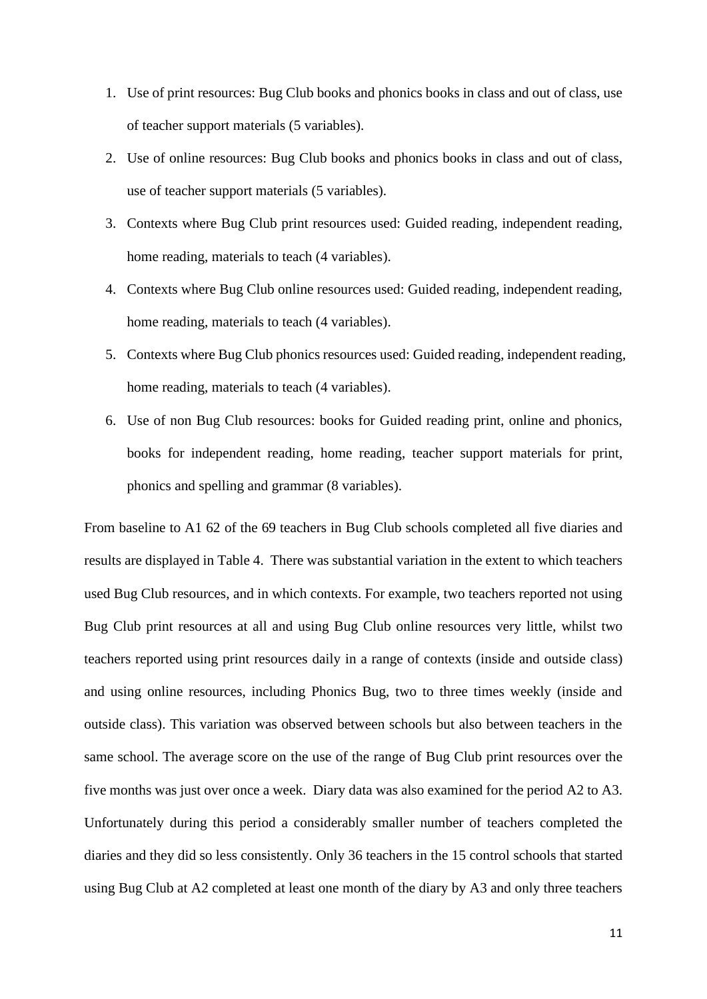- 1. Use of print resources: Bug Club books and phonics books in class and out of class, use of teacher support materials (5 variables).
- 2. Use of online resources: Bug Club books and phonics books in class and out of class, use of teacher support materials (5 variables).
- 3. Contexts where Bug Club print resources used: Guided reading, independent reading, home reading, materials to teach (4 variables).
- 4. Contexts where Bug Club online resources used: Guided reading, independent reading, home reading, materials to teach (4 variables).
- 5. Contexts where Bug Club phonics resources used: Guided reading, independent reading, home reading, materials to teach (4 variables).
- 6. Use of non Bug Club resources: books for Guided reading print, online and phonics, books for independent reading, home reading, teacher support materials for print, phonics and spelling and grammar (8 variables).

From baseline to A1 62 of the 69 teachers in Bug Club schools completed all five diaries and results are displayed in Table 4. There was substantial variation in the extent to which teachers used Bug Club resources, and in which contexts. For example, two teachers reported not using Bug Club print resources at all and using Bug Club online resources very little, whilst two teachers reported using print resources daily in a range of contexts (inside and outside class) and using online resources, including Phonics Bug, two to three times weekly (inside and outside class). This variation was observed between schools but also between teachers in the same school. The average score on the use of the range of Bug Club print resources over the five months was just over once a week. Diary data was also examined for the period A2 to A3. Unfortunately during this period a considerably smaller number of teachers completed the diaries and they did so less consistently. Only 36 teachers in the 15 control schools that started using Bug Club at A2 completed at least one month of the diary by A3 and only three teachers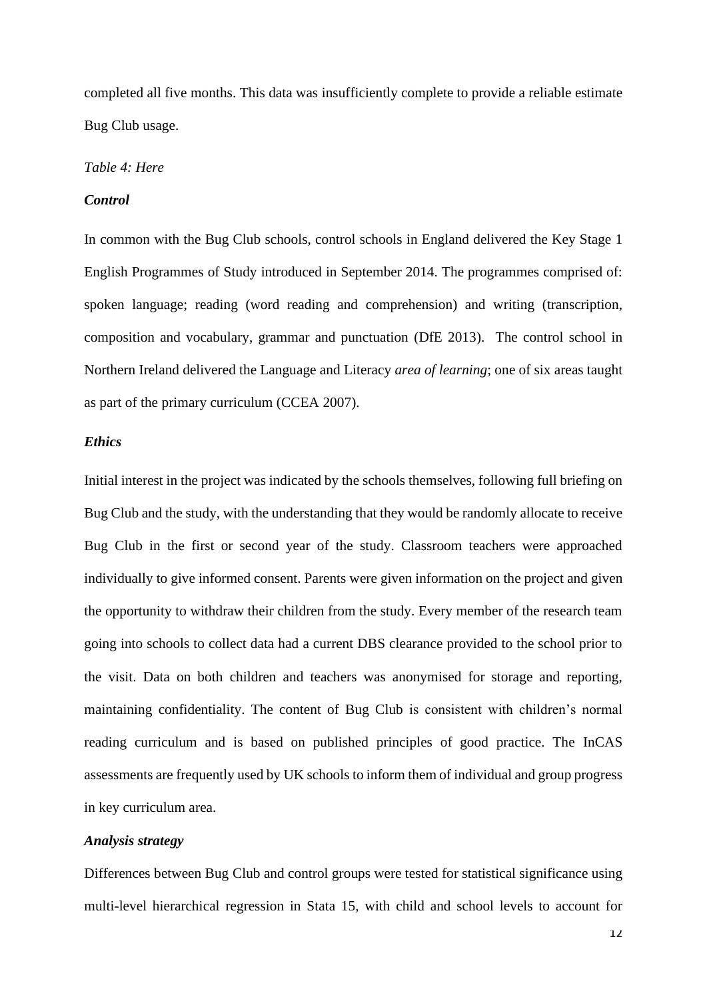completed all five months. This data was insufficiently complete to provide a reliable estimate Bug Club usage.

## *Table 4: Here*

## *Control*

In common with the Bug Club schools, control schools in England delivered the Key Stage 1 English Programmes of Study introduced in September 2014. The programmes comprised of: spoken language; reading (word reading and comprehension) and writing (transcription, composition and vocabulary, grammar and punctuation (DfE 2013). The control school in Northern Ireland delivered the Language and Literacy *area of learning*; one of six areas taught as part of the primary curriculum (CCEA 2007).

## *Ethics*

Initial interest in the project was indicated by the schools themselves, following full briefing on Bug Club and the study, with the understanding that they would be randomly allocate to receive Bug Club in the first or second year of the study. Classroom teachers were approached individually to give informed consent. Parents were given information on the project and given the opportunity to withdraw their children from the study. Every member of the research team going into schools to collect data had a current DBS clearance provided to the school prior to the visit. Data on both children and teachers was anonymised for storage and reporting, maintaining confidentiality. The content of Bug Club is consistent with children's normal reading curriculum and is based on published principles of good practice. The InCAS assessments are frequently used by UK schools to inform them of individual and group progress in key curriculum area.

#### *Analysis strategy*

Differences between Bug Club and control groups were tested for statistical significance using multi-level hierarchical regression in Stata 15, with child and school levels to account for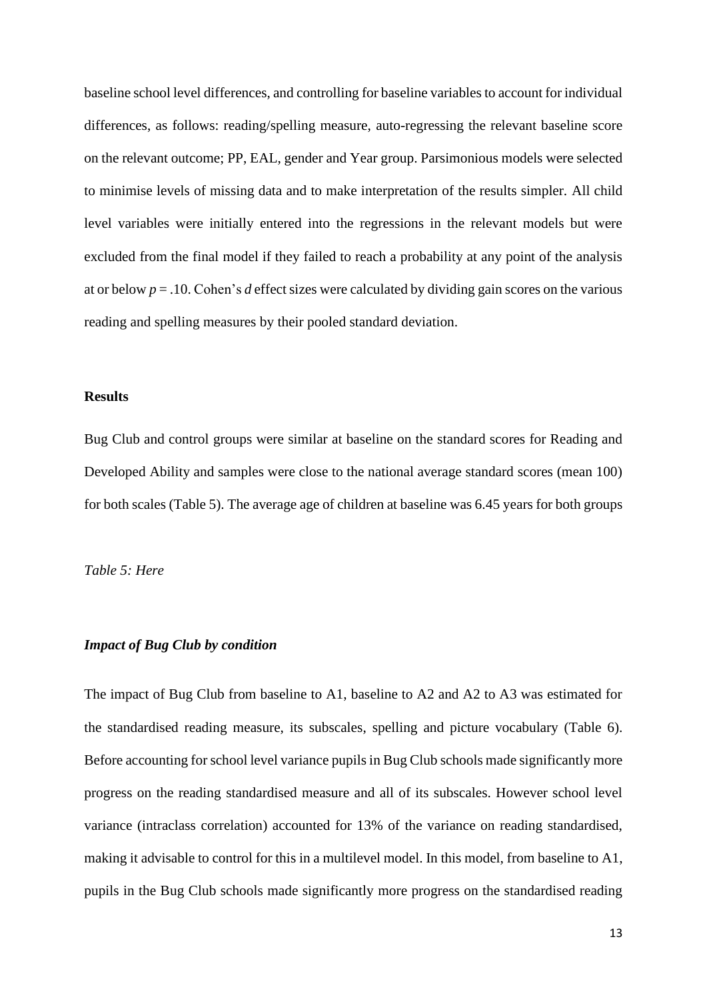baseline school level differences, and controlling for baseline variables to account for individual differences, as follows: reading/spelling measure, auto-regressing the relevant baseline score on the relevant outcome; PP, EAL, gender and Year group. Parsimonious models were selected to minimise levels of missing data and to make interpretation of the results simpler. All child level variables were initially entered into the regressions in the relevant models but were excluded from the final model if they failed to reach a probability at any point of the analysis at or below *p* = .10. Cohen's *d* effect sizes were calculated by dividing gain scores on the various reading and spelling measures by their pooled standard deviation.

#### **Results**

Bug Club and control groups were similar at baseline on the standard scores for Reading and Developed Ability and samples were close to the national average standard scores (mean 100) for both scales (Table 5). The average age of children at baseline was 6.45 years for both groups

## *Table 5: Here*

## *Impact of Bug Club by condition*

The impact of Bug Club from baseline to A1, baseline to A2 and A2 to A3 was estimated for the standardised reading measure, its subscales, spelling and picture vocabulary (Table 6). Before accounting for school level variance pupils in Bug Club schools made significantly more progress on the reading standardised measure and all of its subscales. However school level variance (intraclass correlation) accounted for 13% of the variance on reading standardised, making it advisable to control for this in a multilevel model. In this model, from baseline to A1, pupils in the Bug Club schools made significantly more progress on the standardised reading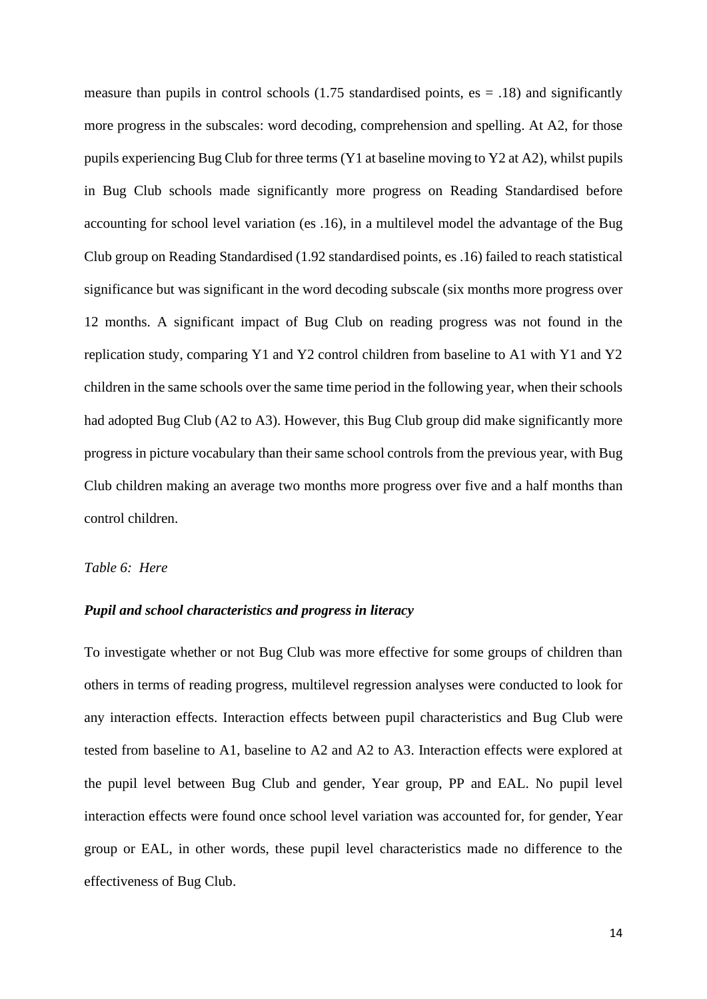measure than pupils in control schools  $(1.75$  standardised points, es  $= .18$ ) and significantly more progress in the subscales: word decoding, comprehension and spelling. At A2, for those pupils experiencing Bug Club for three terms (Y1 at baseline moving to Y2 at A2), whilst pupils in Bug Club schools made significantly more progress on Reading Standardised before accounting for school level variation (es .16), in a multilevel model the advantage of the Bug Club group on Reading Standardised (1.92 standardised points, es .16) failed to reach statistical significance but was significant in the word decoding subscale (six months more progress over 12 months. A significant impact of Bug Club on reading progress was not found in the replication study, comparing Y1 and Y2 control children from baseline to A1 with Y1 and Y2 children in the same schools over the same time period in the following year, when their schools had adopted Bug Club (A2 to A3). However, this Bug Club group did make significantly more progress in picture vocabulary than their same school controls from the previous year, with Bug Club children making an average two months more progress over five and a half months than control children.

## *Table 6: Here*

## *Pupil and school characteristics and progress in literacy*

To investigate whether or not Bug Club was more effective for some groups of children than others in terms of reading progress, multilevel regression analyses were conducted to look for any interaction effects. Interaction effects between pupil characteristics and Bug Club were tested from baseline to A1, baseline to A2 and A2 to A3. Interaction effects were explored at the pupil level between Bug Club and gender, Year group, PP and EAL. No pupil level interaction effects were found once school level variation was accounted for, for gender, Year group or EAL, in other words, these pupil level characteristics made no difference to the effectiveness of Bug Club.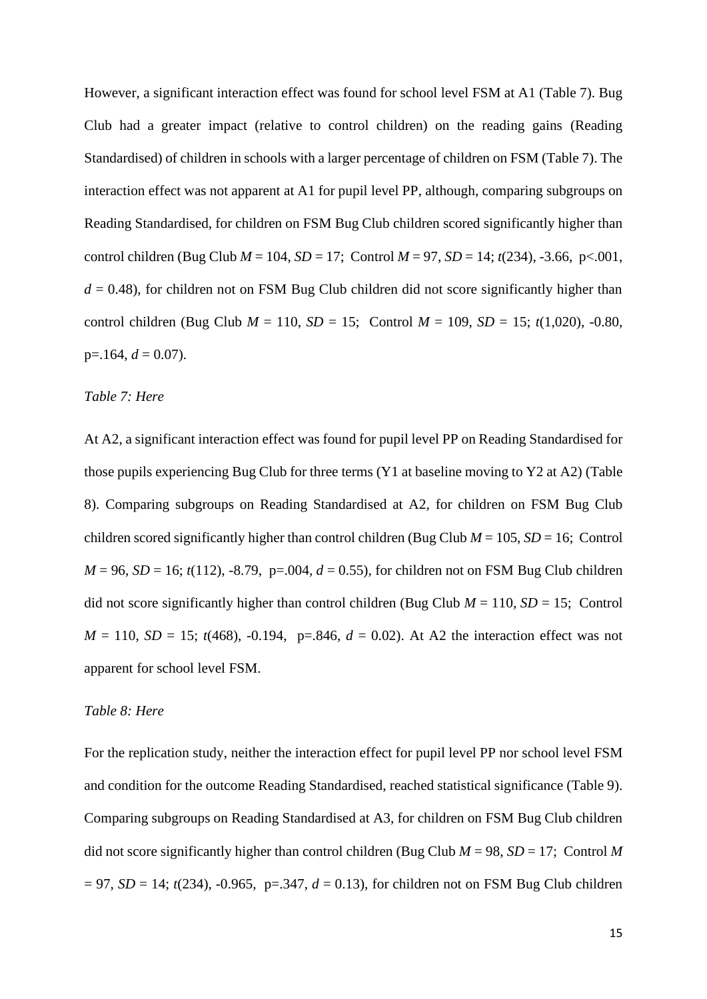However, a significant interaction effect was found for school level FSM at A1 (Table 7). Bug Club had a greater impact (relative to control children) on the reading gains (Reading Standardised) of children in schools with a larger percentage of children on FSM (Table 7). The interaction effect was not apparent at A1 for pupil level PP, although, comparing subgroups on Reading Standardised, for children on FSM Bug Club children scored significantly higher than control children (Bug Club  $M = 104$ ,  $SD = 17$ ; Control  $M = 97$ ,  $SD = 14$ ;  $t(234)$ ,  $-3.66$ ,  $p < .001$ ,  $d = 0.48$ ), for children not on FSM Bug Club children did not score significantly higher than control children (Bug Club  $M = 110$ ,  $SD = 15$ ; Control  $M = 109$ ,  $SD = 15$ ;  $t(1,020)$ , -0.80,  $p=164, d=0.07$ ).

## *Table 7: Here*

At A2, a significant interaction effect was found for pupil level PP on Reading Standardised for those pupils experiencing Bug Club for three terms (Y1 at baseline moving to Y2 at A2) (Table 8). Comparing subgroups on Reading Standardised at A2, for children on FSM Bug Club children scored significantly higher than control children (Bug Club  $M = 105$ ,  $SD = 16$ ; Control  $M = 96$ ,  $SD = 16$ ;  $t(112)$ ,  $-8.79$ ,  $p = .004$ ,  $d = 0.55$ ), for children not on FSM Bug Club children did not score significantly higher than control children (Bug Club  $M = 110$ ,  $SD = 15$ ; Control  $M = 110$ ,  $SD = 15$ ;  $t(468)$ ,  $-0.194$ ,  $p = .846$ ,  $d = 0.02$ ). At A2 the interaction effect was not apparent for school level FSM.

## *Table 8: Here*

For the replication study, neither the interaction effect for pupil level PP nor school level FSM and condition for the outcome Reading Standardised, reached statistical significance (Table 9). Comparing subgroups on Reading Standardised at A3, for children on FSM Bug Club children did not score significantly higher than control children (Bug Club  $M = 98$ ,  $SD = 17$ ; Control M  $= 97$ , *SD* = 14; *t*(234), -0.965, p=.347, *d* = 0.13), for children not on FSM Bug Club children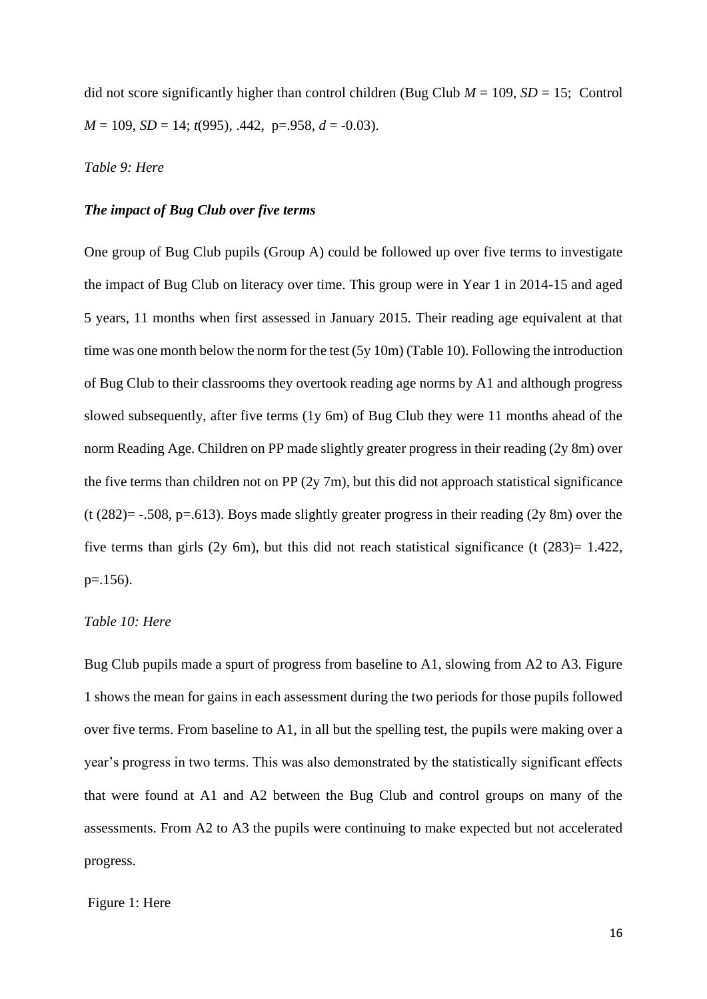did not score significantly higher than control children (Bug Club  $M = 109$ ,  $SD = 15$ ; Control *M* = 109, *SD* = 14; *t*(995), .442, p=.958, *d* = -0.03).

## *Table 9: Here*

## *The impact of Bug Club over five terms*

One group of Bug Club pupils (Group A) could be followed up over five terms to investigate the impact of Bug Club on literacy over time. This group were in Year 1 in 2014-15 and aged 5 years, 11 months when first assessed in January 2015. Their reading age equivalent at that time was one month below the norm for the test (5y 10m) (Table 10). Following the introduction of Bug Club to their classrooms they overtook reading age norms by A1 and although progress slowed subsequently, after five terms (1y 6m) of Bug Club they were 11 months ahead of the norm Reading Age. Children on PP made slightly greater progress in their reading (2y 8m) over the five terms than children not on PP  $(2y 7m)$ , but this did not approach statistical significance (t  $(282)$ = -.508, p=.613). Boys made slightly greater progress in their reading  $(2y 8m)$  over the five terms than girls  $(2y \, 6m)$ , but this did not reach statistical significance (t  $(283)=1.422$ ,  $p=.156$ ).

## *Table 10: Here*

Bug Club pupils made a spurt of progress from baseline to A1, slowing from A2 to A3. Figure 1 shows the mean for gains in each assessment during the two periods for those pupils followed over five terms. From baseline to A1, in all but the spelling test, the pupils were making over a year's progress in two terms. This was also demonstrated by the statistically significant effects that were found at A1 and A2 between the Bug Club and control groups on many of the assessments. From A2 to A3 the pupils were continuing to make expected but not accelerated progress.

#### Figure 1: Here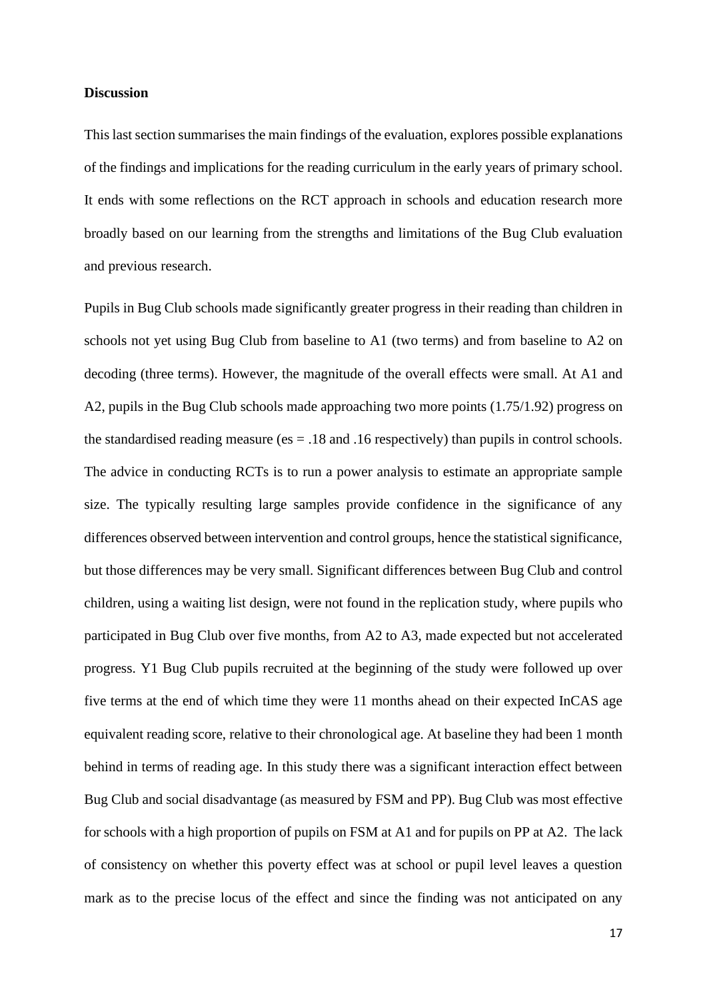#### **Discussion**

This last section summarises the main findings of the evaluation, explores possible explanations of the findings and implications for the reading curriculum in the early years of primary school. It ends with some reflections on the RCT approach in schools and education research more broadly based on our learning from the strengths and limitations of the Bug Club evaluation and previous research.

Pupils in Bug Club schools made significantly greater progress in their reading than children in schools not yet using Bug Club from baseline to A1 (two terms) and from baseline to A2 on decoding (three terms). However, the magnitude of the overall effects were small. At A1 and A2, pupils in the Bug Club schools made approaching two more points (1.75/1.92) progress on the standardised reading measure (es  $= .18$  and .16 respectively) than pupils in control schools. The advice in conducting RCTs is to run a power analysis to estimate an appropriate sample size. The typically resulting large samples provide confidence in the significance of any differences observed between intervention and control groups, hence the statistical significance, but those differences may be very small. Significant differences between Bug Club and control children, using a waiting list design, were not found in the replication study, where pupils who participated in Bug Club over five months, from A2 to A3, made expected but not accelerated progress. Y1 Bug Club pupils recruited at the beginning of the study were followed up over five terms at the end of which time they were 11 months ahead on their expected InCAS age equivalent reading score, relative to their chronological age. At baseline they had been 1 month behind in terms of reading age. In this study there was a significant interaction effect between Bug Club and social disadvantage (as measured by FSM and PP). Bug Club was most effective for schools with a high proportion of pupils on FSM at A1 and for pupils on PP at A2. The lack of consistency on whether this poverty effect was at school or pupil level leaves a question mark as to the precise locus of the effect and since the finding was not anticipated on any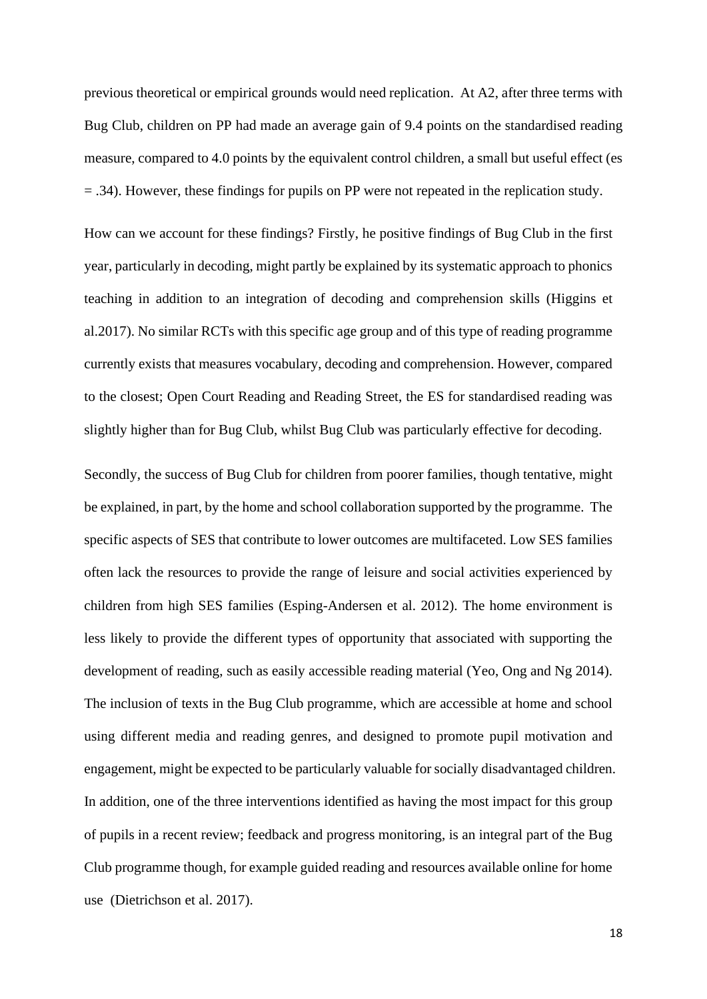previous theoretical or empirical grounds would need replication. At A2, after three terms with Bug Club, children on PP had made an average gain of 9.4 points on the standardised reading measure, compared to 4.0 points by the equivalent control children, a small but useful effect (es = .34). However, these findings for pupils on PP were not repeated in the replication study.

How can we account for these findings? Firstly, he positive findings of Bug Club in the first year, particularly in decoding, might partly be explained by its systematic approach to phonics teaching in addition to an integration of decoding and comprehension skills (Higgins et al.2017). No similar RCTs with this specific age group and of this type of reading programme currently exists that measures vocabulary, decoding and comprehension. However, compared to the closest; Open Court Reading and Reading Street, the ES for standardised reading was slightly higher than for Bug Club, whilst Bug Club was particularly effective for decoding.

Secondly, the success of Bug Club for children from poorer families, though tentative, might be explained, in part, by the home and school collaboration supported by the programme. The specific aspects of SES that contribute to lower outcomes are multifaceted. Low SES families often lack the resources to provide the range of leisure and social activities experienced by children from high SES families (Esping-Andersen et al. 2012). The home environment is less likely to provide the different types of opportunity that associated with supporting the development of reading, such as easily accessible reading material (Yeo, Ong and Ng 2014). The inclusion of texts in the Bug Club programme, which are accessible at home and school using different media and reading genres, and designed to promote pupil motivation and engagement, might be expected to be particularly valuable for socially disadvantaged children. In addition, one of the three interventions identified as having the most impact for this group of pupils in a recent review; feedback and progress monitoring, is an integral part of the Bug Club programme though, for example guided reading and resources available online for home use (Dietrichson et al. 2017).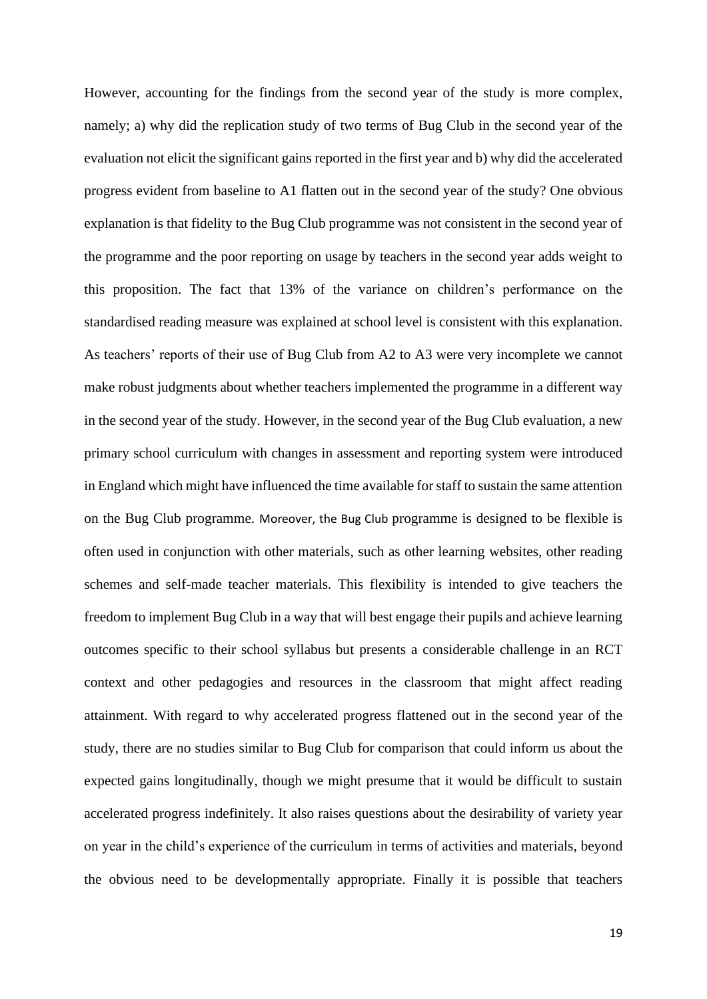However, accounting for the findings from the second year of the study is more complex, namely; a) why did the replication study of two terms of Bug Club in the second year of the evaluation not elicit the significant gains reported in the first year and b) why did the accelerated progress evident from baseline to A1 flatten out in the second year of the study? One obvious explanation is that fidelity to the Bug Club programme was not consistent in the second year of the programme and the poor reporting on usage by teachers in the second year adds weight to this proposition. The fact that 13% of the variance on children's performance on the standardised reading measure was explained at school level is consistent with this explanation. As teachers' reports of their use of Bug Club from A2 to A3 were very incomplete we cannot make robust judgments about whether teachers implemented the programme in a different way in the second year of the study. However, in the second year of the Bug Club evaluation, a new primary school curriculum with changes in assessment and reporting system were introduced in England which might have influenced the time available for staff to sustain the same attention on the Bug Club programme. Moreover, the Bug Club programme is designed to be flexible is often used in conjunction with other materials, such as other learning websites, other reading schemes and self-made teacher materials. This flexibility is intended to give teachers the freedom to implement Bug Club in a way that will best engage their pupils and achieve learning outcomes specific to their school syllabus but presents a considerable challenge in an RCT context and other pedagogies and resources in the classroom that might affect reading attainment. With regard to why accelerated progress flattened out in the second year of the study, there are no studies similar to Bug Club for comparison that could inform us about the expected gains longitudinally, though we might presume that it would be difficult to sustain accelerated progress indefinitely. It also raises questions about the desirability of variety year on year in the child's experience of the curriculum in terms of activities and materials, beyond the obvious need to be developmentally appropriate. Finally it is possible that teachers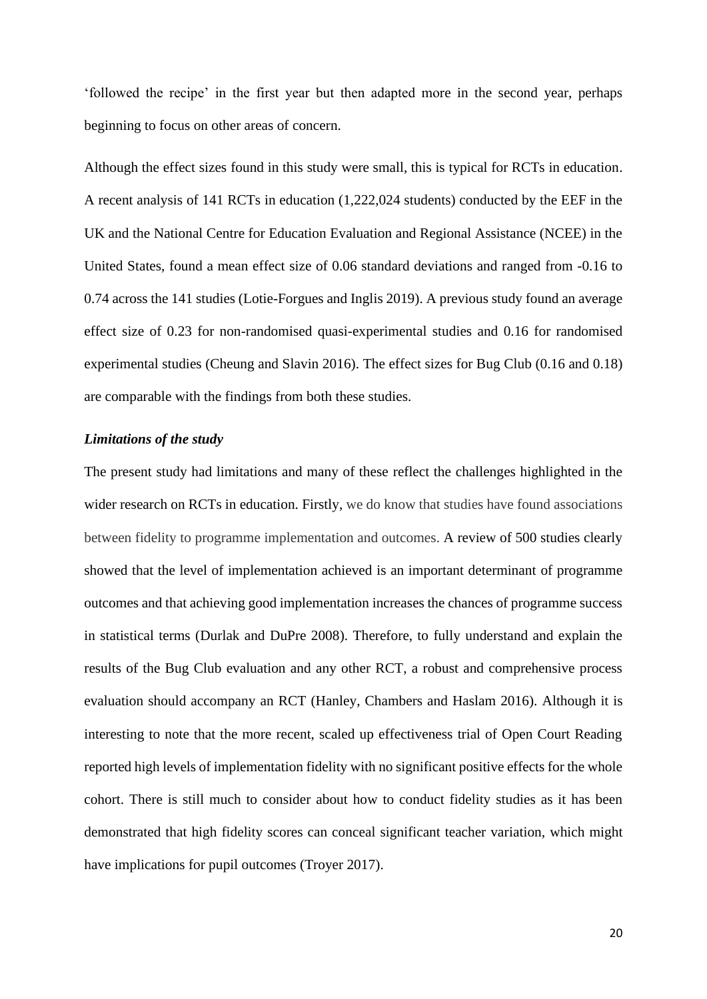'followed the recipe' in the first year but then adapted more in the second year, perhaps beginning to focus on other areas of concern.

Although the effect sizes found in this study were small, this is typical for RCTs in education. A recent analysis of 141 RCTs in education (1,222,024 students) conducted by the EEF in the UK and the National Centre for Education Evaluation and Regional Assistance (NCEE) in the United States, found a mean effect size of 0.06 standard deviations and ranged from -0.16 to 0.74 across the 141 studies (Lotie-Forgues and Inglis 2019). A previous study found an average effect size of 0.23 for non-randomised quasi-experimental studies and 0.16 for randomised experimental studies (Cheung and Slavin 2016). The effect sizes for Bug Club (0.16 and 0.18) are comparable with the findings from both these studies.

## *Limitations of the study*

The present study had limitations and many of these reflect the challenges highlighted in the wider research on RCTs in education. Firstly, we do know that studies have found associations between fidelity to programme implementation and outcomes. A review of 500 studies clearly showed that the level of implementation achieved is an important determinant of programme outcomes and that achieving good implementation increases the chances of programme success in statistical terms (Durlak and DuPre 2008). Therefore, to fully understand and explain the results of the Bug Club evaluation and any other RCT, a robust and comprehensive process evaluation should accompany an RCT (Hanley, Chambers and Haslam 2016). Although it is interesting to note that the more recent, scaled up effectiveness trial of Open Court Reading reported high levels of implementation fidelity with no significant positive effects for the whole cohort. There is still much to consider about how to conduct fidelity studies as it has been demonstrated that high fidelity scores can conceal significant teacher variation, which might have implications for pupil outcomes (Troyer 2017).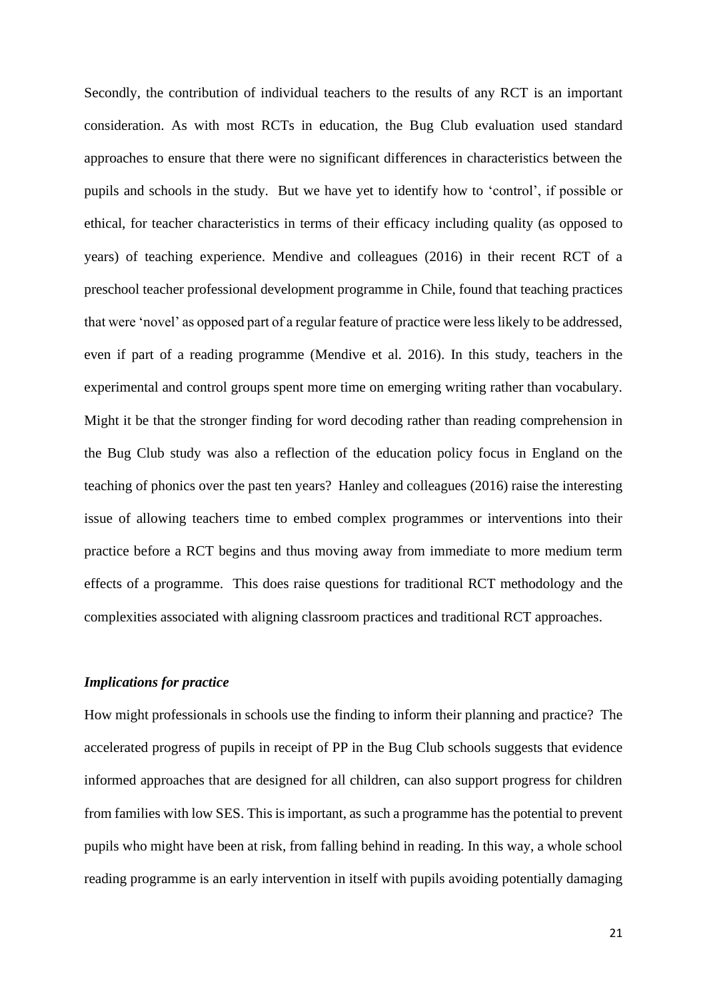Secondly, the contribution of individual teachers to the results of any RCT is an important consideration. As with most RCTs in education, the Bug Club evaluation used standard approaches to ensure that there were no significant differences in characteristics between the pupils and schools in the study. But we have yet to identify how to 'control', if possible or ethical, for teacher characteristics in terms of their efficacy including quality (as opposed to years) of teaching experience. Mendive and colleagues (2016) in their recent RCT of a preschool teacher professional development programme in Chile, found that teaching practices that were 'novel' as opposed part of a regular feature of practice were less likely to be addressed, even if part of a reading programme (Mendive et al. 2016). In this study, teachers in the experimental and control groups spent more time on emerging writing rather than vocabulary. Might it be that the stronger finding for word decoding rather than reading comprehension in the Bug Club study was also a reflection of the education policy focus in England on the teaching of phonics over the past ten years? Hanley and colleagues (2016) raise the interesting issue of allowing teachers time to embed complex programmes or interventions into their practice before a RCT begins and thus moving away from immediate to more medium term effects of a programme. This does raise questions for traditional RCT methodology and the complexities associated with aligning classroom practices and traditional RCT approaches.

## *Implications for practice*

How might professionals in schools use the finding to inform their planning and practice? The accelerated progress of pupils in receipt of PP in the Bug Club schools suggests that evidence informed approaches that are designed for all children, can also support progress for children from families with low SES. This is important, as such a programme has the potential to prevent pupils who might have been at risk, from falling behind in reading. In this way, a whole school reading programme is an early intervention in itself with pupils avoiding potentially damaging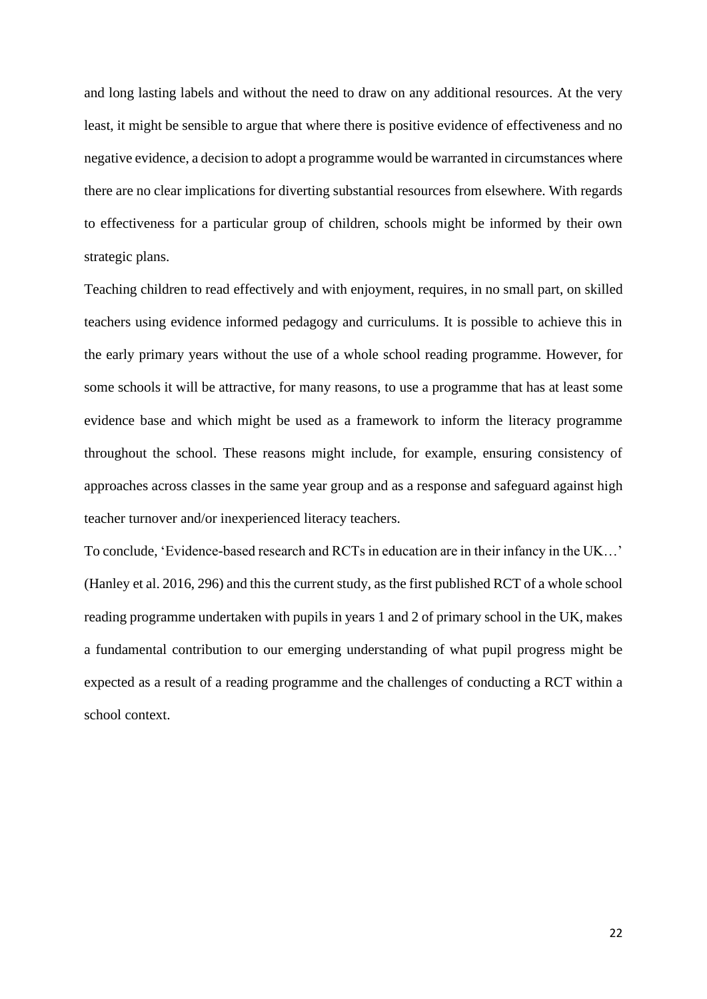and long lasting labels and without the need to draw on any additional resources. At the very least, it might be sensible to argue that where there is positive evidence of effectiveness and no negative evidence, a decision to adopt a programme would be warranted in circumstances where there are no clear implications for diverting substantial resources from elsewhere. With regards to effectiveness for a particular group of children, schools might be informed by their own strategic plans.

Teaching children to read effectively and with enjoyment, requires, in no small part, on skilled teachers using evidence informed pedagogy and curriculums. It is possible to achieve this in the early primary years without the use of a whole school reading programme. However, for some schools it will be attractive, for many reasons, to use a programme that has at least some evidence base and which might be used as a framework to inform the literacy programme throughout the school. These reasons might include, for example, ensuring consistency of approaches across classes in the same year group and as a response and safeguard against high teacher turnover and/or inexperienced literacy teachers.

To conclude, 'Evidence-based research and RCTs in education are in their infancy in the UK…' (Hanley et al. 2016, 296) and this the current study, as the first published RCT of a whole school reading programme undertaken with pupils in years 1 and 2 of primary school in the UK, makes a fundamental contribution to our emerging understanding of what pupil progress might be expected as a result of a reading programme and the challenges of conducting a RCT within a school context.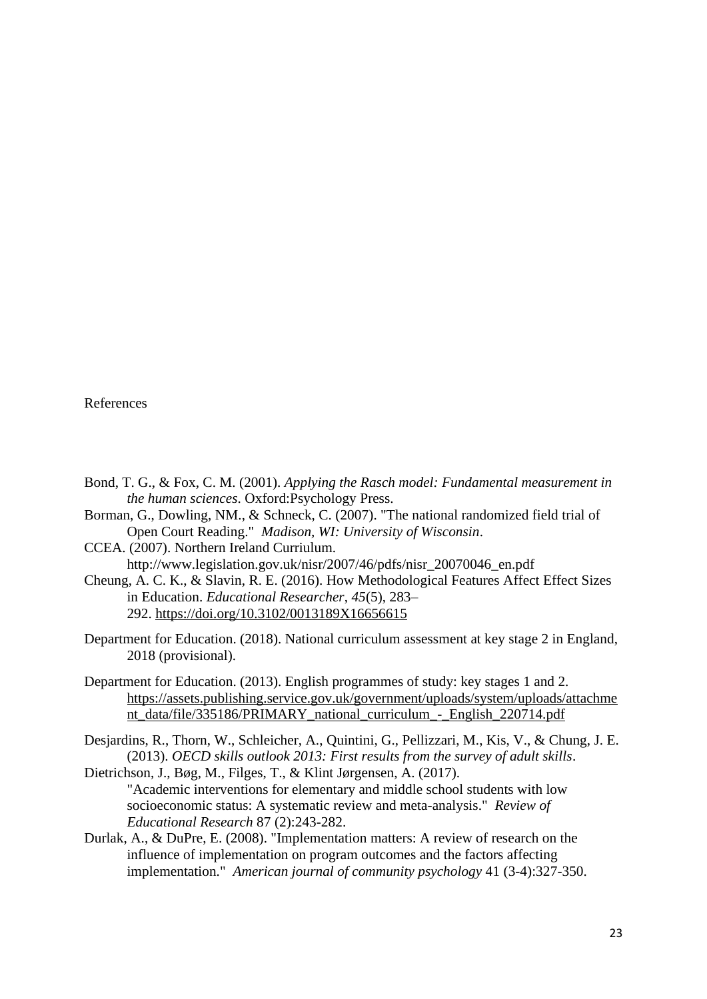## References

- Bond, T. G., & Fox, C. M. (2001). *Applying the Rasch model: Fundamental measurement in the human sciences*. Oxford:Psychology Press.
- Borman, G., Dowling, NM., & Schneck, C. (2007). "The national randomized field trial of Open Court Reading." *Madison, WI: University of Wisconsin*.
- CCEA. (2007). Northern Ireland Curriulum.

http://www.legislation.gov.uk/nisr/2007/46/pdfs/nisr\_20070046\_en.pdf

- Cheung, A. C. K., & Slavin, R. E. (2016). How Methodological Features Affect Effect Sizes in Education. *Educational Researcher*, *45*(5), 283– 292. [https://doi.org/10.3102/0013189X16656615](about:blank)
- Department for Education. (2018). National curriculum assessment at key stage 2 in England, 2018 (provisional).
- Department for Education. (2013). English programmes of study: key stages 1 and 2. https://assets.publishing.service.gov.uk/government/uploads/system/uploads/attachme nt\_data/file/335186/PRIMARY\_national\_curriculum\_-\_English\_220714.pdf
- Desjardins, R., Thorn, W., Schleicher, A., Quintini, G., Pellizzari, M., Kis, V., & Chung, J. E. (2013). *OECD skills outlook 2013: First results from the survey of adult skills*.
- Dietrichson, J., Bøg, M., Filges, T., & Klint Jørgensen, A. (2017). "Academic interventions for elementary and middle school students with low socioeconomic status: A systematic review and meta-analysis." *Review of Educational Research* 87 (2):243-282.
- Durlak, A., & DuPre, E. (2008). "Implementation matters: A review of research on the influence of implementation on program outcomes and the factors affecting implementation." *American journal of community psychology* 41 (3-4):327-350.